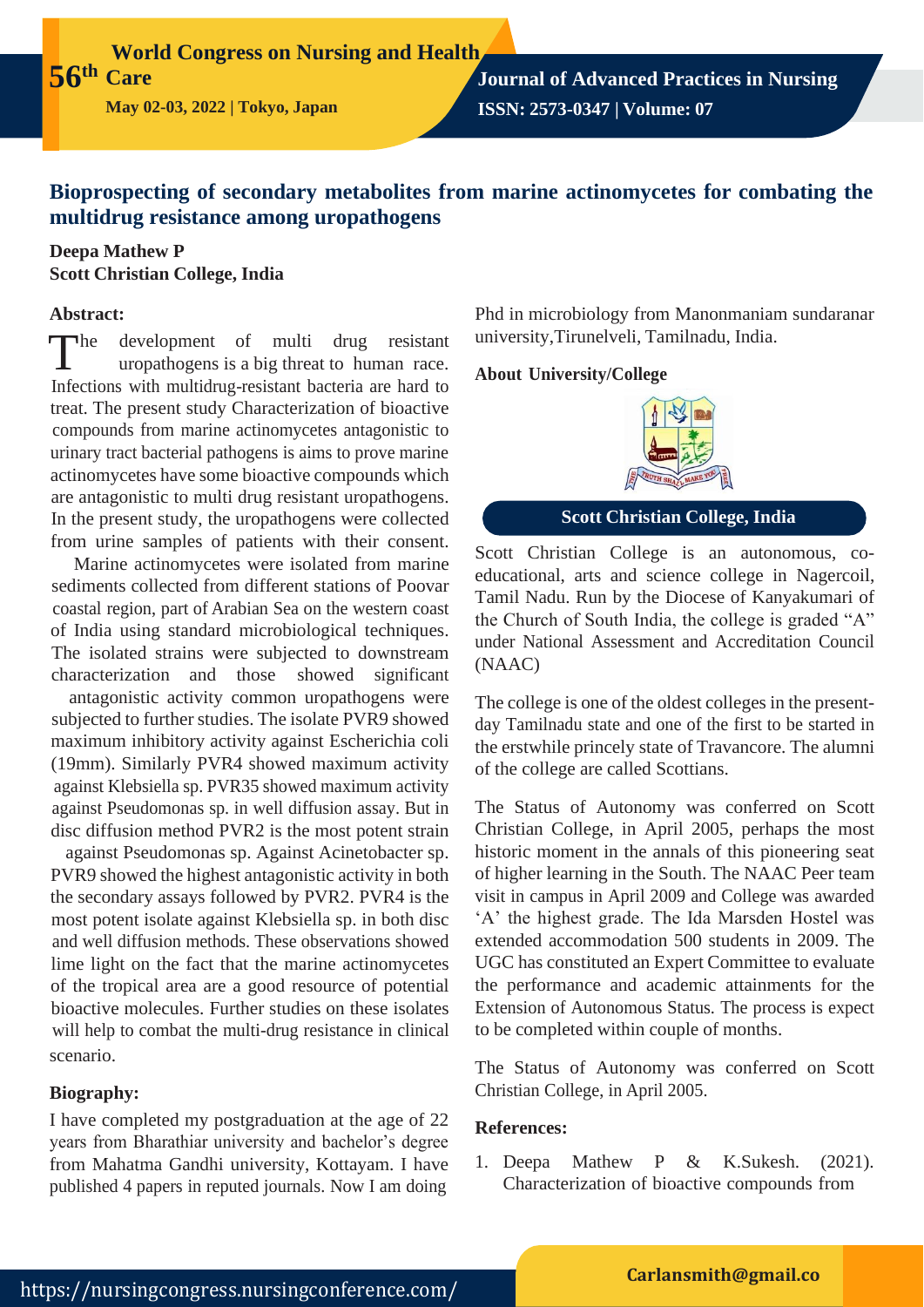**56th Care World Congress on Nursing and Health** 

**May 02-03, 2022 | Tokyo, Japan**

**Journal of Advanced Practices in Nursing ISSN: 2573-0347 | Volume: 07**

# **Bioprospecting of secondary metabolites from marine actinomycetes for combating the multidrug resistance among uropathogens**

# **Deepa Mathew P Scott Christian College, India**

#### **Abstract:**

 $\blacksquare$ development of multi drug resistant uropathogens is a big threat to human race. Infections with multidrug-resistant bacteria are hard to treat. The present study Characterization of bioactive compounds from marine actinomycetes antagonistic to urinary tract bacterial pathogens is aims to prove marine actinomycetes have some bioactive compounds which are antagonistic to multi drug resistant uropathogens. In the present study, the uropathogens were collected from urine samples of patients with their consent.

Marine actinomycetes were isolated from marine sediments collected from different stations of Poovar coastal region, part of Arabian Sea on the western coast of India using standard microbiological techniques. The isolated strains were subjected to downstream characterization and those showed significant

antagonistic activity common uropathogens were subjected to further studies. The isolate PVR9 showed maximum inhibitory activity against Escherichia coli (19mm). Similarly PVR4 showed maximum activity against Klebsiella sp. PVR35 showed maximum activity against Pseudomonas sp. in well diffusion assay. But in disc diffusion method PVR2 is the most potent strain

against Pseudomonas sp. Against Acinetobacter sp. PVR9 showed the highest antagonistic activity in both the secondary assays followed by PVR2. PVR4 is the most potent isolate against Klebsiella sp. in both disc and well diffusion methods. These observations showed lime light on the fact that the marine actinomycetes of the tropical area are a good resource of potential bioactive molecules. Further studies on these isolates will help to combat the multi-drug resistance in clinical scenario.

## **Biography:**

I have completed my postgraduation at the age of 22 years from Bharathiar university and bachelor's degree from Mahatma Gandhi university, Kottayam. I have published 4 papers in reputed journals. Now I am doing

Phd in microbiology from Manonmaniam sundaranar university,Tirunelveli, Tamilnadu, India.

#### **About University/College**



**Scott Christian College, India**

Scott Christian College is an autonomous, coeducational, arts and science college in Nagercoil, Tamil Nadu. Run by the Diocese of Kanyakumari of the Church of South India, the college is graded "A" under National Assessment and Accreditation Council (NAAC)

The college is one of the oldest colleges in the presentday Tamilnadu state and one of the first to be started in the erstwhile princely state of Travancore. The alumni of the college are called Scottians.

The Status of Autonomy was conferred on Scott Christian College, in April 2005, perhaps the most historic moment in the annals of this pioneering seat of higher learning in the South. The NAAC Peer team visit in campus in April 2009 and College was awarded 'A' the highest grade. The Ida Marsden Hostel was extended accommodation 500 students in 2009. The UGC has constituted an Expert Committee to evaluate the performance and academic attainments for the Extension of Autonomous Status. The process is expect to be completed within couple of months.

The Status of Autonomy was conferred on Scott Christian College, in April 2005.

## **References:**

1. Deepa Mathew P & K.Sukesh. (2021). Characterization of bioactive compounds from